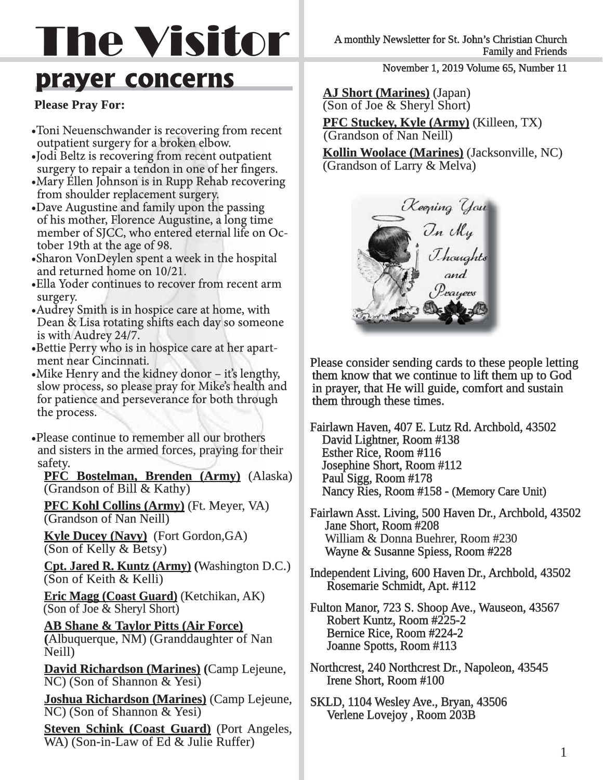# The Visitor

# **prayer concerns**

# **Please Pray For:**

- Toni Neuenschwander is recovering from recent outpatient surgery for a broken elbow.
- Jodi Beltz is recovering from recent outpatient surgery to repair a tendon in one of her fingers.
- Mary Ellen Johnson is in Rupp Rehab recovering from shoulder replacement surgery.
- Dave Augustine and family upon the passing of his mother, Florence Augustine, a long time member of SJCC, who entered eternal life on October 19th at the age of 98.
- Sharon VonDeylen spent a week in the hospital and returned home on 10/21.
- Ella Yoder continues to recover from recent arm surgery.
- Audrey Smith is in hospice care at home, with Dean & Lisa rotating shifts each day so someone is with Audrey 24/7.
- Bettie Perry who is in hospice care at her apart-
- ment near Cincinnati.<br>• Mike Henry and the kidney donor it's lengthy, slow process, so please pray for Mike's health and<br>for patience and perseverance for both through<br>the process.

•Please continue to remember all our brothers<br>and sisters in the armed forces, praying for their<br>safety.<br>**PFC Bostelman, Brenden (Army)** (Alaska)<br>(Grandson of Bill & Kathy)

**PFC Kohl Collins (Army)** (Ft. Meyer, VA) (Grandson of Nan Neill)

**Kyle Ducey (Navy)** (Fort Gordon,GA) (Son of Kelly & Betsy)

**Cpt. Jared R. Kuntz (Army) (Washington D.C.)** (Son of Keith  $&$  Kelli)

**Eric Magg (Coast Guard)** (Ketchikan, AK) (Son of Joe & Sheryl Short)

 **AB Shane & Taylor Pitts (Air Force) B Force)**  (Albuquerque, NM) (Granddaughter of Nan Neill)

**David Richardson (Marines)** (Camp Lejeune, NC) (Son of Shannon & Yesi)

**Joshua Richardson (Marines)** (Camp Lejeune,  $NC$ ) (Son of Shannon & Yesi)

**Steven Schink (Coast Guard)** (Port Angeles, WA) (Son-in-Law of Ed & Julie Ruffer)

A monthly Newsletter for St. John's Christian Church Family and Friends

November 1, 2019 Volume 65, Number 11

**AJ Short (Marines)** (Japan) (Son of Joe & Sheryl Short)

**PFC Stuckey, Kyle (Army)** (Killeen, TX) (Grandson of Nan Neill)

**Kollin Woolace (Marines)** (Jacksonville, NC) (Grandson of Larry  $&$  Melva)



Please consider sending cards to these people letting them know that we continue to lift them up to God<br>in prayer, that He will guide, comfort and sustain<br>them through these times.

Fairlawn Haven, 407 E. Lutz Rd. Archbold, 43502<br>David Lightner, Room #138 Esther Rice, Room #116 Josephine Short, Room #112 Paul Sigg, Room #178 Nancy Ries, Room #158 - (Memory Care Unit)

Fairlawn Asst. Living, 500 Haven Dr., Archbold, 43502 Jane Short, Room #208 William & Donna Buehrer, Room #230 Wayne & Susanne Spiess, Room #228

Independent Living, 600 Haven Dr., Archbold, 43502 Rosemarie Schmidt, Apt. #112

Fulton Manor, 723 S. Shoop Ave., Wauseon, 43567 Robert Kuntz, Room #225-2 Bernice Rice, Room #224-2 Joanne Spotts, Room #113

- Northcrest, 240 Northcrest Dr., Napoleon, 43545 Irene Short, Room #100
- SKLD, 1104 Wesley Ave., Bryan, 43506 Verlene Lovejoy, Room 203B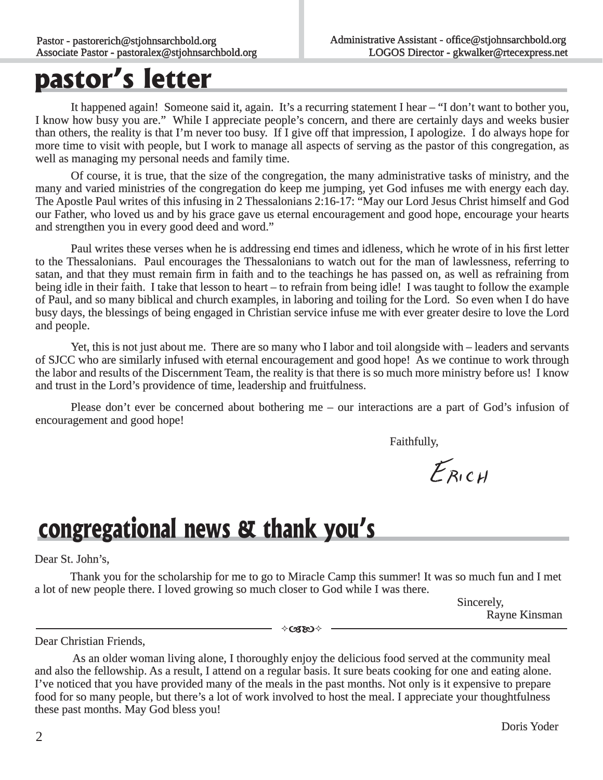# **pastor's letter**

 It happened again! Someone said it, again. It's a recurring statement I hear – "I don't want to bother you, I know how busy you are." While I appreciate people's concern, and there are certainly days and weeks busier than others, the reality is that I'm never too busy. If I give off that impression, I apologize. I do always hope for han is apologize. more time to visit with people, but I work to manage all aspects of serving as the pastor of this congregation, as well as managing my personal needs and family time.

Of course, it is true, that the size of the congregation, the many administrative tasks of ministry, and the many and varied ministries of the congregation do keep me jumping, yet God infuses me with energy each day. The Apostle Paul writes of this infusing in 2 Thessalonians 2:16-17: "May our Lord Jesus Christ himself and God our Father, who loved us and by his grace gave us eternal encouragement and good hope, encourage your hearts and strengthen you in every good deed and word."

 Paul writes these verses when he is addressing end times and idleness, which he wrote of in his first letter to the Thessalonians. Paul encourages the Thessalonians to watch out for the man of lawlessness, referring to satan, and that they must remain firm in faith and to the teachings he has passed on, as well as refraining from being idle in their faith. I take that lesson to heart – to refrain from being idle! I was taught to follow the example of Paul, and so many biblical and church examples, in laboring and toiling for the Lord. So even when I do have busy days, the blessings of being engaged in Christian service infuse me with ever greater desire to love the Lord and people.

Yet, this is not just about me. There are so many who I labor and toil alongside with – leaders and servants of SJCC who are similarly infused with eternal encouragement and good hope! As we continue to work through f the labor and results of the Discernment Team, the reality is that there is so much more ministry before us! I know and trust in the Lord's providence of time, leadership and fruitfulness.

Please don't ever be concerned about bothering me – our interactions are a part of God's infusion of encouragement and good hope!

Faithfully, Faithfully,

 $E_{RICH}$ 

# **congregational news & thank you's**

Dear St. John's,

 Thank you for the scholarship for me to go to Miracle Camp this summer! It was so much fun and I met a lot of new people there. I loved growing so much closer to God while I was there.

**Sincerely,** Sincerely, Rayne Kinsman

∻csso√

Dear Christian Friends,

 As an older woman living alone, I thoroughly enjoy the delicious food served at the community meal and also the fellowship. As a result, I attend on a regular basis. It sure beats cooking for one and eating alone. I've noticed that you have provided many of the meals in the past months. Not only is it expensive to prepare food for so many people, but there's a lot of work involved to host the meal. I appreciate your thoughtfulness these past months. May God bless you!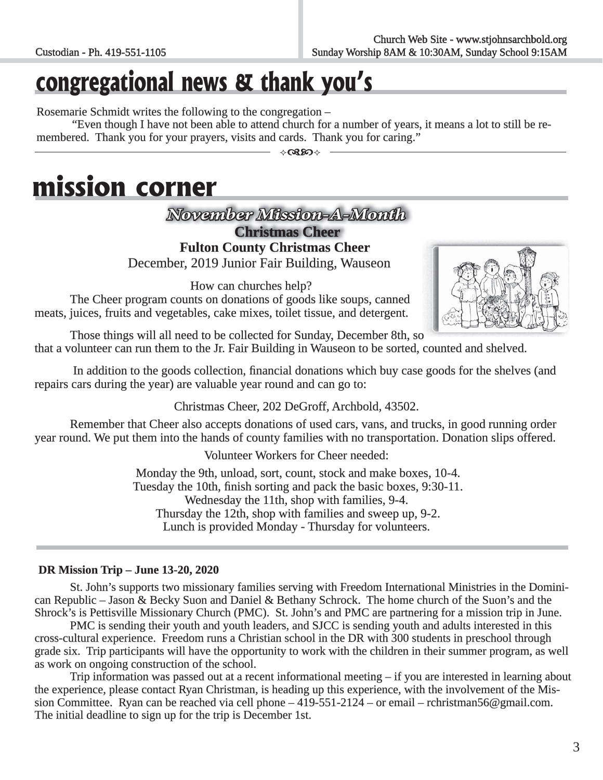# **congregational news & thank you's**

Rosemarie Schmidt writes the following to the congregation –

"Even though I have not been able to attend church for a number of years, it means a lot to still be remembered. Thank you for your prayers, visits and cards. Thank you for caring."

# **mission corner**

*November Mission-A-Month ovember* 

**Christmas Cheer hristmas** 

 **Fulton County Christmas Cheer**  December, 2019 Junior Fair Building, Wauseon

How can churches help?

 The Cheer program counts on donations of goods like soups, canned meats, juices, fruits and vegetables, cake mixes, toilet tissue, and detergent.



Those things will all need to be collected for Sunday, December 8th, so that a volunteer can run them to the Jr. Fair Building in Wauseon to be sorted, counted and shelved.

In addition to the goods collection, financial donations which buy case goods for the shelves (and repairs cars during the year) are valuable year round and can go to:

Christmas Cheer, 202 DeGroff, Archbold, 43502.

 Remember that Cheer also accepts donations of used cars, vans, and trucks, in good running order year round. We put them into the hands of county families with no transportation. Donation slips offered.

Volunteer Workers for Cheer needed:

Monday the 9th, unload, sort, count, stock and make boxes, 10-4. Tuesday the 10th, finish sorting and pack the basic boxes, 9:30-11. Wednesday the 11th, shop with families, 9-4. Thursday the 12th, shop with families and sweep up, 9-2. Lunch is provided Monday - Thursday for volunteers.

### **DR Mission Trip – June 13-20, 2020**

St. John's supports two missionary families serving with Freedom International Ministries in the Dominican Republic – Jason & Becky Suon and Daniel & Bethany Schrock. The home church of the Suon's and the Shrock's is Pettisville Missionary Church (PMC). St. John's and PMC are partnering for a mission trip in June.

 PMC is sending their youth and youth leaders, and SJCC is sending youth and adults interested in this cross-cultural experience. Freedom runs a Christian school in the DR with 300 students in preschool through grade six. Trip participants will have the opportunity to work with the children in their summer program, as well as work on ongoing construction of the school.

 Trip information was passed out at a recent informational meeting – if you are interested in learning about the experience, please contact Ryan Christman, is heading up this experience, with the involvement of the Mission Committee. Ryan can be reached via cell phone  $-4\overline{19\cdot 551\cdot 2124}$  – or email – rchristman56@gmail.com. The initial deadline to sign up for the trip is December 1st.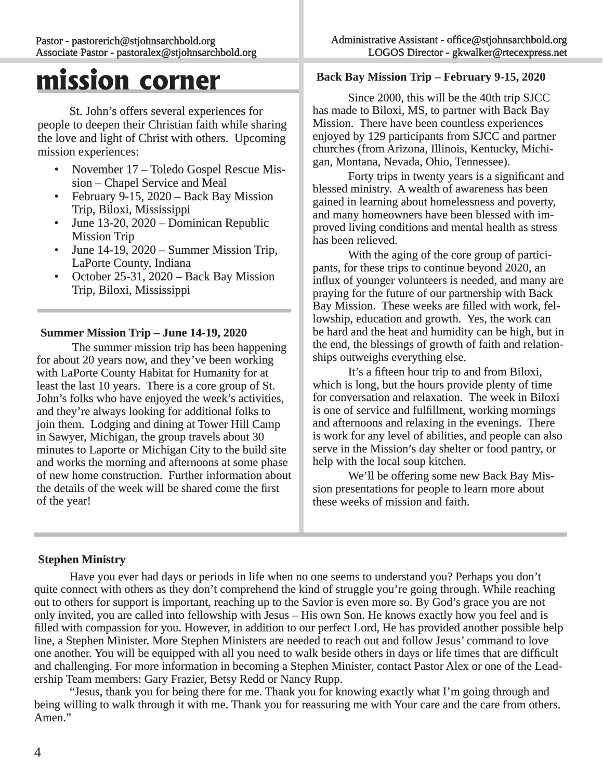# **mission corner**

 St. John's offers several experiences for people to deepen their Christian faith while sharing the love and light of Christ with others. Upcoming mission experiences:

- November 17 Toledo Gospel Rescue Mis sion – Chapel Service and Meal
- February 9-15, 2020 Back Bay Mission Trip, Biloxi, Mississippi
- June 13-20, 2020 Dominican Republic Mission Trip
- June 14-19, 2020 Summer Mission Trip, LaPorte County, Indiana
- October 25-31, 2020 Back Bay Mission Trip, Biloxi, Mississippi

# **Summer Mission Trip – June 14-19, 2020 ummer**

 The summer mission trip has been happening for about 20 years now, and they've been working with LaPorte County Habitat for Humanity for at least the last 10 years. There is a core group of St. John's folks who have enjoyed the week's activities, and they're always looking for additional folks to join them. Lodging and dining at Tower Hill Camp in Sawyer, Michigan, the group travels about 30 n minutes to Laporte or Michigan City to the build site and works the morning and afternoons at some phase of new home construction. Further information about f the details of the week will be shared come the first of the year!

**Back Bay Mission Trip – February 9-15, 2020**

 Since 2000, this will be the 40th trip SJCC has made to Biloxi, MS, to partner with Back Bay Mission. There have been countless experiences enjoyed by 129 participants from SJCC and partner churches (from Arizona, Illinois, Kentucky, Michigan, Montana, Nevada, Ohio, Tennessee).

Forty trips in twenty years is a significant and blessed ministry. A wealth of awareness has been gained in learning about homelessness and poverty, and many homeowners have been blessed with improved living conditions and mental health as stress has been relieved.

With the aging of the core group of participants, for these trips to continue beyond 2020, an influx of younger volunteers is needed, and many are praying for the future of our partnership with Back Bay Mission. These weeks are filled with work, fellowship, education and growth. Yes, the work can be hard and the heat and humidity can be high, but in the end, the blessings of growth of faith and relationships outweighs everything else.

 It's a fifteen hour trip to and from Biloxi, which is long, but the hours provide plenty of time for conversation and relaxation. The week in Biloxi is one of service and fulfillment, working mornings and afternoons and relaxing in the evenings. There is work for any level of abilities, and people can also serve in the Mission's day shelter or food pantry, or help with the local soup kitchen.

We'll be offering some new Back Bay Mission presentations for people to learn more about these weeks of mission and faith.

### **Stephen Ministry inistry**

 Have you ever had days or periods in life when no one seems to understand you? Perhaps you don't quite connect with others as they don't comprehend the kind of struggle you're going through. While reaching out to others for support is important, reaching up to the Savior is even more so. By God's grace you are not only invited, you are called into fellowship with Jesus – His own Son. He knows exactly how you feel and is filled with compassion for you. However, in addition to our perfect Lord, He has provided another possible help line, a Stephen Minister. More Stephen Ministers are needed to reach out and follow Jesus' command to love one another. You will be equipped with all you need to walk beside others in days or life times that are difficult and challenging. For more information in becoming a Stephen Minister, contact Pastor Alex or one of the Leadership Team members: Gary Frazier, Betsy Redd or Nancy Rupp.

 "Jesus, thank you for being there for me. Thank you for knowing exactly what I'm going through and being willing to walk through it with me. Thank you for reassuring me with Your care and the care from others. Amen."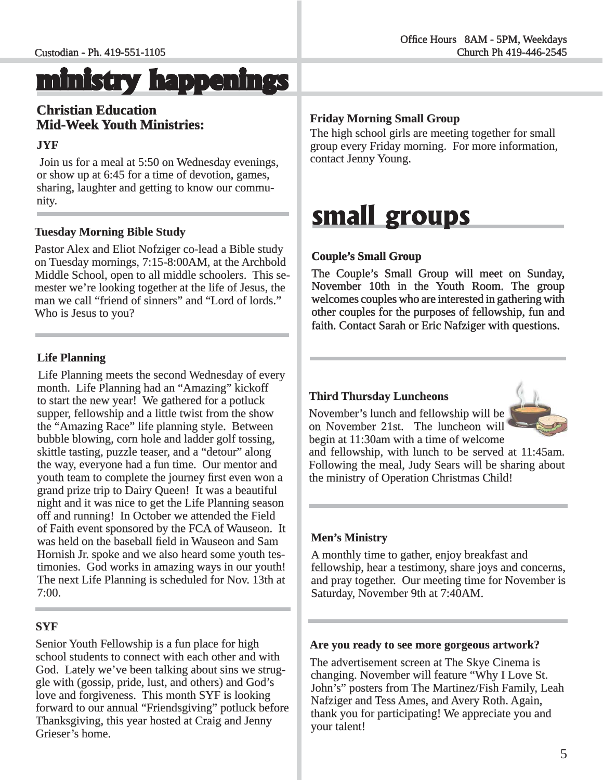# **ministry happenings inistry**

# **Christian Education hristian Mid-Week Youth Ministries:**

### **JYF**

Join us for a meal at 5:50 on Wednesday evenings, or show up at 6:45 for a time of devotion, games, r sharing, laughter and getting to know our community.

# **Tuesday Morning Bible Study**

Pastor Alex and Eliot Nofziger co-lead a Bible study on Tuesday mornings, 7:15-8:00AM, at the Archbold n Middle School, open to all middle schoolers. This semester we're looking together at the life of Jesus, the man we call "friend of sinners" and "Lord of lords." Who is Jesus to you?

# **Life Planning**

Life Planning meets the second Wednesday of every month. Life Planning had an "Amazing" kickoff to start the new year! We gathered for a potluck supper, fellowship and a little twist from the show the "Amazing Race" life planning style. Between bubble blowing, corn hole and ladder golf tossing, skittle tasting, puzzle teaser, and a "detour" along the way, everyone had a fun time. Our mentor and youth team to complete the journey first even won a grand prize trip to Dairy Queen! It was a beautiful night and it was nice to get the Life Planning season ight off and running! In October we attended the Field of Faith event sponsored by the FCA of Wauseon. It f was held on the baseball field in Wauseon and Sam Hornish Jr. spoke and we also heard some youth testimonies. God works in amazing ways in our youth! The next Life Planning is scheduled for Nov. 13th at 7:00.

### **SYF**

Senior Youth Fellowship is a fun place for high school students to connect with each other and with God. Lately we've been talking about sins we struggle with (gossip, pride, lust, and others) and God's love and forgiveness. This month SYF is looking forward to our annual "Friendsgiving" potluck before Thanksgiving, this year hosted at Craig and Jenny Grieser's home.

### **Friday Morning Small Group**

The high school girls are meeting together for small group every Friday morning. For more information, contact Jenny Young.

# **small groups**

# **Couple's Small Group ouple's**

The Couple's Small Group will meet on Sunday, November 10th in the Youth Room. The group welcomes couples who are interested in gathering with other couples for the purposes of fellowship, fun and faith. Contact Sarah or Eric Nafziger with questions.

### **Third Thursday Luncheons hird**

November's lunch and fellowship will be on November 21st. The luncheon will begin at 11:30am with a time of welcome



and fellowship, with lunch to be served at  $11:45$ am. Following the meal, Judy Sears will be sharing about the ministry of Operation Christmas Child!

### **Men's Ministry**

A monthly time to gather, enjoy breakfast and fellowship, hear a testimony, share joys and concerns, and pray together. Our meeting time for November is Saturday, November 9th at 7:40AM.

### Are you ready to see more gorgeous artwork?

The advertisement screen at The Skye Cinema is changing. November will feature "Why I Love St. John's" posters from The Martinez/Fish Family, Leah Nafziger and Tess Ames, and Avery Roth. Again, thank you for participating! We appreciate you and your talent!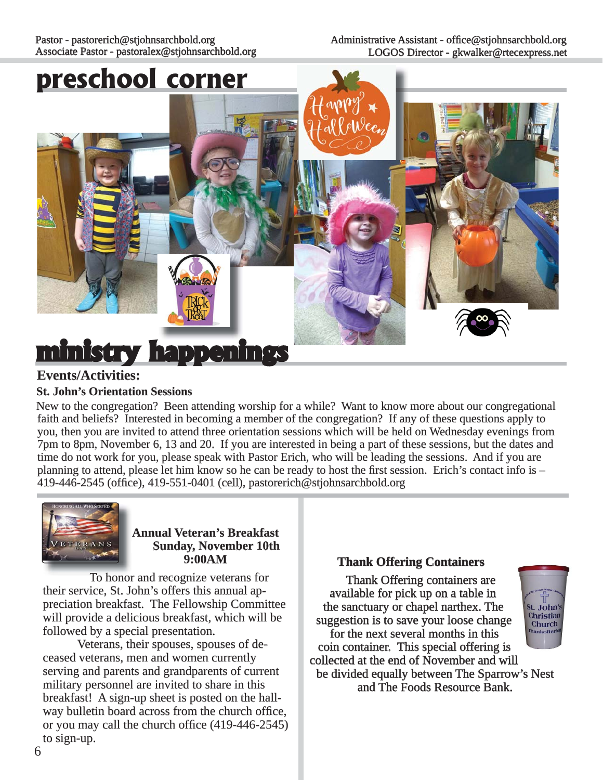#### Pastor - pastorerich@stjohnsarchbold.org Associate Pastor - pastoralex@stjohnsarchbold.org

# **preschool corner**



# **Events/Activities: vents/Activities:**

### **St. John's Orientation Sessions**

New to the congregation? Been attending worship for a while? Want to know more about our congregational faith and beliefs? Interested in becoming a member of the congregation? If any of these questions apply to you, then you are invited to attend three orientation sessions which will be held on Wednesday evenings from 7pm to 8pm, November 6, 13 and 20. If you are interested in being a part of these sessions, but the dates and pm time do not work for you, please speak with Pastor Erich, who will be leading the sessions. And if you are planning to attend, please let him know so he can be ready to host the first session. Erich's contact info is  $-$ 419-446-2545 (office), 419-551-0401 (cell), pastorerich@stjohnsarchbold.org



**Annual Veteran's Breakfast Sunday, November 10th 9:00AM**

To honor and recognize veterans for their service, St. John's offers this annual appreciation breakfast. The Fellowship Committee will provide a delicious breakfast, which will be followed by a special presentation.

Veterans, their spouses, spouses of deceased veterans, men and women currently serving and parents and grandparents of current military personnel are invited to share in this breakfast! A sign-up sheet is posted on the hallway bulletin board across from the church office, or you may call the church office (419-446-2545) to sign-up.

### **Thank Offering Containers hank**

Thank Offering containers are available for pick up on a table in the sanctuary or chapel narthex. The  $st.$  John's Christian suggestion is to save your loose change Church for the next several months in this coin container. This special offering is collected at the end of November and will be divided equally between The Sparrow's Nest and The Foods Resource Bank.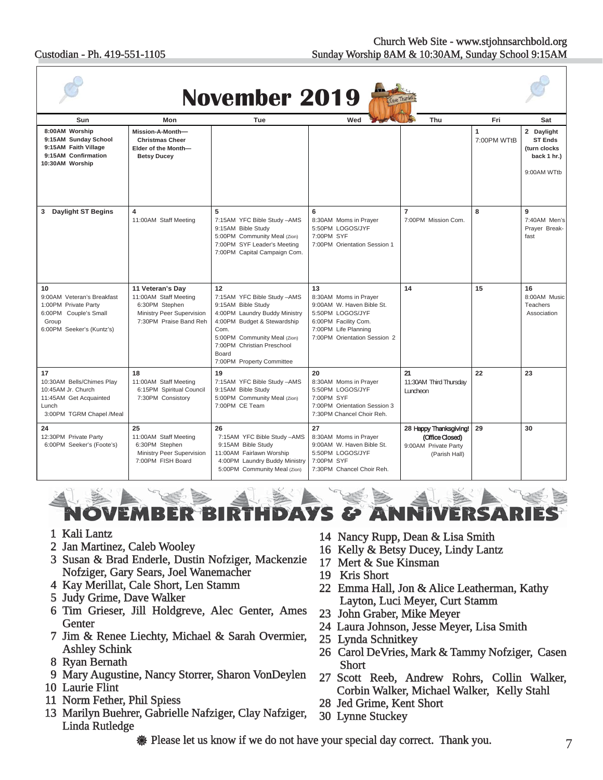#### Custodian - Ph. 419-551-1105

| <b>November 2019</b>                                                                                                    |                                                                                                                    |                                                                                                                                                                                                                                     |                                                                                                                                                              |                                                                                    |                  |                                                                             |  |
|-------------------------------------------------------------------------------------------------------------------------|--------------------------------------------------------------------------------------------------------------------|-------------------------------------------------------------------------------------------------------------------------------------------------------------------------------------------------------------------------------------|--------------------------------------------------------------------------------------------------------------------------------------------------------------|------------------------------------------------------------------------------------|------------------|-----------------------------------------------------------------------------|--|
| Sun                                                                                                                     | Mon                                                                                                                | Tue                                                                                                                                                                                                                                 | Wed                                                                                                                                                          | Thu                                                                                | Fri              | Sat                                                                         |  |
| 8:00AM Worship<br>9:15AM Sunday School<br>9:15AM Faith Village<br>9:15AM Confirmation<br>10:30AM Worship                | Mission-A-Month-<br><b>Christmas Cheer</b><br>Elder of the Month-<br><b>Betsy Ducey</b>                            |                                                                                                                                                                                                                                     |                                                                                                                                                              |                                                                                    | 1<br>7:00PM WTtB | 2 Daylight<br><b>ST Ends</b><br>(turn clocks)<br>back 1 hr.)<br>9:00AM WTtb |  |
| <b>Daylight ST Begins</b><br>3                                                                                          | 4<br>11:00AM Staff Meeting                                                                                         | 5<br>7:15AM YFC Bible Study -AMS<br>9:15AM Bible Study<br>5:00PM Community Meal (Zion)<br>7:00PM SYF Leader's Meeting<br>7:00PM Capital Campaign Com.                                                                               | 6<br>8:30AM Moms in Prayer<br>5:50PM LOGOS/JYF<br>7:00PM SYF<br>7:00PM Orientation Session 1                                                                 | $\overline{7}$<br>7:00PM Mission Com.                                              | 8                | 9<br>7:40AM Men's<br>Prayer Break-<br>fast                                  |  |
| 10<br>9:00AM Veteran's Breakfast<br>1:00PM Private Party<br>6:00PM Couple's Small<br>Group<br>6:00PM Seeker's (Kuntz's) | 11 Veteran's Day<br>11:00AM Staff Meeting<br>6:30PM Stephen<br>Ministry Peer Supervision<br>7:30PM Praise Band Reh | 12<br>7:15AM YFC Bible Study -AMS<br>9:15AM Bible Study<br>4:00PM Laundry Buddy Ministry<br>4:00PM Budget & Stewardship<br>Com.<br>5:00PM Community Meal (Zion)<br>7:00PM Christian Preschool<br>Board<br>7:00PM Property Committee | 13<br>8:30AM Moms in Prayer<br>9:00AM W. Haven Bible St.<br>5:50PM LOGOS/JYF<br>6:00PM Facility Com.<br>7:00PM Life Planning<br>7:00PM Orientation Session 2 | 14                                                                                 | 15               | 16<br>8:00AM Music<br><b>Teachers</b><br>Association                        |  |
| 17<br>10:30AM Bells/Chimes Play<br>10:45AM Jr. Church<br>11:45AM Get Acquainted<br>Lunch<br>3:00PM TGRM Chapel /Meal    | 18<br>11:00AM Staff Meeting<br>6:15PM Spiritual Council<br>7:30PM Consistory                                       | 19<br>7:15AM YFC Bible Study -AMS<br>9:15AM Bible Study<br>5:00PM Community Meal (Zion)<br>7:00PM CE Team                                                                                                                           | 20<br>8:30AM Moms in Prayer<br>5:50PM LOGOS/JYF<br>7:00PM SYF<br>7:00PM Orientation Session 3<br>7:30PM Chancel Choir Reh.                                   | 21<br>11:30AM Third Thursday<br>Luncheon                                           | 22               | 23                                                                          |  |
| 24<br>12:30PM Private Party<br>6:00PM Seeker's (Foote's)                                                                | 25<br>11:00AM Staff Meeting<br>6:30PM Stephen<br>Ministry Peer Supervision<br>7:00PM FISH Board                    | 26<br>7:15AM YFC Bible Study -AMS<br>9:15AM Bible Study<br>11:00AM Fairlawn Worship<br>4:00PM Laundry Buddy Ministry<br>5:00PM Community Meal (Zion)                                                                                | 27<br>8:30AM Moms in Prayer<br>9:00AM W. Haven Bible St.<br>5:50PM LOGOS/JYF<br>7:00PM SYF<br>7:30PM Chancel Choir Reh.                                      | 28 Happy Thanksgiving!<br>(Office Closed)<br>9:00AM Private Party<br>(Parish Hall) | 29               | 30                                                                          |  |

EMBER HDY VS *E E*NNIV Е KI

- 1 Kali Lantz
- 2 Jan Martinez, Caleb Wooley
- 3 Susan & Brad Enderle, Dustin Nofziger, Mackenzie Nofziger, Gary Sears, Joel Wanemacher
- 4 Kay Merillat, Cale Short, Len Stamm
- 5 Judy Grime, Dave Walker
- 6 Tim Grieser, Jill Holdgreve, Alec Genter, Ames **Genter**
- 7 Jim & Renee Liechty, Michael & Sarah Overmier, Ashley Schink
- 8 Ryan Bernath
- 9 Mary Augustine, Nancy Storrer, Sharon VonDeylen
- 10 Laurie Flint
- 11 Norm Fether, Phil Spiess
- 13 Marilyn Buehrer, Gabrielle Nafziger, Clay Nafziger, Linda Rutledge
- 14 Nancy Rupp, Dean & Lisa Smith 4
- 16 Kelly & Betsy Ducey, Lindy Lantz 6
- 17 Mert & Sue Kinsman
- 19 Kris Short
- 22 Emma Hall, Jon & Alice Leatherman, Kathy 2 Layton, Luci Meyer, Curt Stamm
- 23 John Graber, Mike Meyer
- 24 Laura Johnson, Jesse Meyer, Lisa Smith 4
- 25 Lynda Schnitkey 5
- 26 Carol DeVries, Mark & Tammy Nofziger, Casen 6 **Short**
- 27 Scott Reeb, Andrew Rohrs, Collin Walker, Corbin Walker, Michael Walker, Kelly Stahl
- 28 Jed Grime, Kent Short
- 30 Lynne Stuckey 0

**We Please let us know if we do not have your special day correct. Thank you.**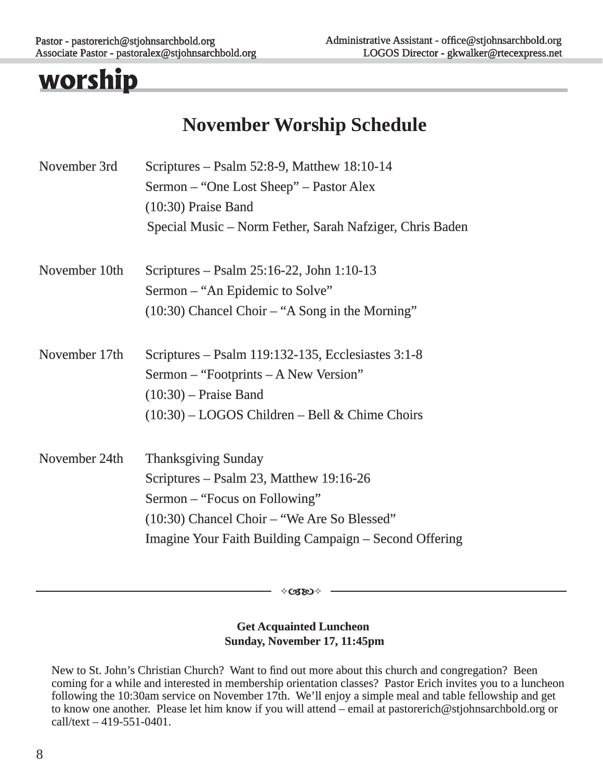# **worship**

# **November Worship Schedule**

| November 3rd  | Scriptures – Psalm 52:8-9, Matthew $18:10-14$                    |  |  |  |  |
|---------------|------------------------------------------------------------------|--|--|--|--|
|               | Sermon – "One Lost Sheep" – Pastor Alex<br>$(10:30)$ Praise Band |  |  |  |  |
|               |                                                                  |  |  |  |  |
|               | Special Music – Norm Fether, Sarah Nafziger, Chris Baden         |  |  |  |  |
| November 10th | Scriptures – Psalm 25:16-22, John 1:10-13                        |  |  |  |  |
|               | Sermon – "An Epidemic to Solve"                                  |  |  |  |  |
|               | $(10:30)$ Chancel Choir – "A Song in the Morning"                |  |  |  |  |
| November 17th | Scriptures – Psalm 119:132-135, Ecclesiastes 3:1-8               |  |  |  |  |
|               | Sermon – "Footprints – A New Version"                            |  |  |  |  |
|               | $(10:30)$ – Praise Band                                          |  |  |  |  |
|               | $(10:30)$ – LOGOS Children – Bell & Chime Choirs                 |  |  |  |  |
| November 24th | <b>Thanksgiving Sunday</b>                                       |  |  |  |  |
|               | Scriptures - Psalm 23, Matthew 19:16-26                          |  |  |  |  |
|               | Sermon – "Focus on Following"                                    |  |  |  |  |
|               | (10:30) Chancel Choir – "We Are So Blessed"                      |  |  |  |  |
|               | Imagine Your Faith Building Campaign – Second Offering           |  |  |  |  |

∻œs⊗⊹

# **Get Acquainted Luncheon Sunday, November 17, 11:45pm**

New to St. John's Christian Church? Want to find out more about this church and congregation? Been coming for a while and interested in membership orientation classes? Pastor Erich invites you to a luncheon following the 10:30am service on November 17th. We'll enjoy a simple meal and table fellowship and get to know one another. Please let him know if you will attend – email at pastorerich@stjohnsarchbold.org or  $call/text - 419-551-0401.$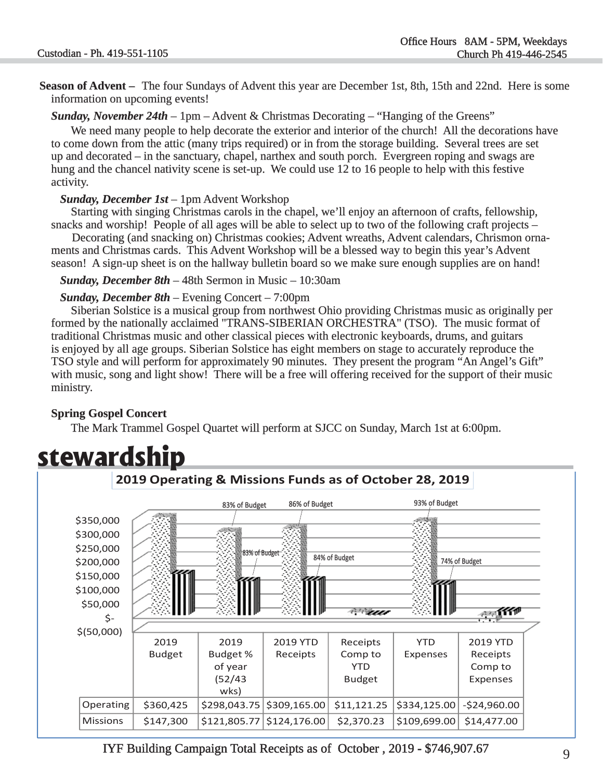**Season of Advent** – The four Sundays of Advent this year are December 1st, 8th, 15th and 22nd. Here is some information on upcoming events!

*Sunday, November 24th* – 1pm – Advent & Christmas Decorating – "Hanging of the Greens"

 We need many people to help decorate the exterior and interior of the church! All the decorations have to come down from the attic (many trips required) or in from the storage building. Several trees are set up and decorated – in the sanctuary, chapel, narthex and south porch. Evergreen roping and swags are p hung and the chancel nativity scene is set-up. We could use 12 to 16 people to help with this festive activity.

#### *Sunday, December 1st* – 1pm Advent Workshop

 Starting with singing Christmas carols in the chapel, we'll enjoy an afternoon of crafts, fellowship, snacks and worship! People of all ages will be able to select up to two of the following craft projects  $-$ 

 Decorating (and snacking on) Christmas cookies; Advent wreaths, Advent calendars, Chrismon orna ments and Christmas cards. This Advent Workshop will be a blessed way to begin this year's Advent season! A sign-up sheet is on the hallway bulletin board so we make sure enough supplies are on hand!

*Sunday, December 8th –* 48th Sermon in Music – 10:30am

#### *Sunday, December 8th – Evening Concert – 7:00pm*

 Siberian Solstice is a musical group from northwest Ohio providing Christmas music as originally per formed by the nationally acclaimed "TRANS-SIBERIAN ORCHESTRA" (TSO). The music format of traditional Christmas music and other classical pieces with electronic keyboards, drums, and guitars is enjoyed by all age groups. Siberian Solstice has eight members on stage to accurately reproduce the TSO style and will perform for approximately 90 minutes. They present the program "An Angel's Gift" with music, song and light show! There will be a free will offering received for the support of their music ministry.

# **Spring Gospel Concert**

The Mark Trammel Gospel Quartet will perform at SJCC on Sunday, March 1st at 6:00pm.



# **stewardship**

IYF Building Campaign Total Receipts as of October, 2019 - \$746,907.67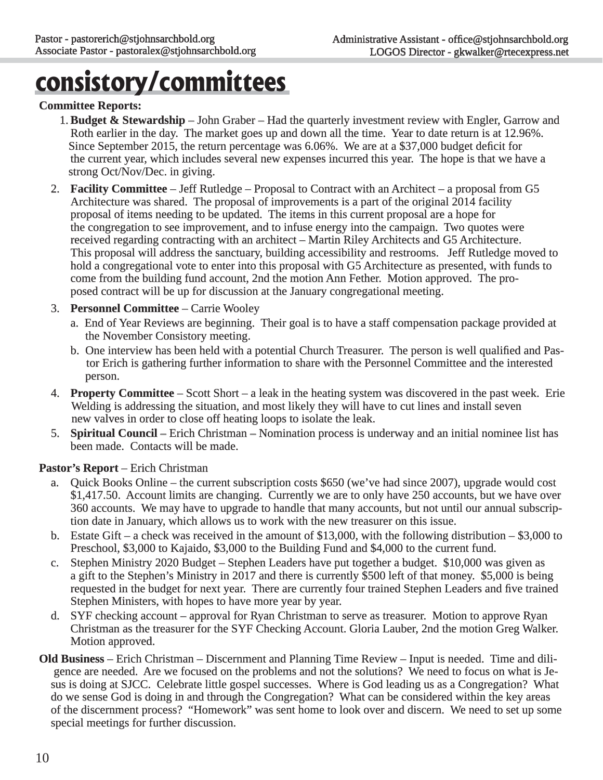# **consistory/committees**

### **Committee Reports: ommittee**

- **1. Budget & Stewardship** John Graber Had the quarterly investment review with Engler, Garrow and Roth earlier in the day. The market goes up and down all the time. Year to date return is at 12.96%. Since September 2015, the return percentage was 6.06%. We are at a \$37,000 budget deficit for the current year, which includes several new expenses incurred this year. The hope is that we have a strong Oct/Nov/Dec. in giving.
- 2. **Facility Committee** Jeff Rutledge Proposal to Contract with an Architect a proposal from G5 Architecture was shared. The proposal of improvements is a part of the original 2014 facility proposal of items needing to be updated. The items in this current proposal are a hope for the congregation to see improvement, and to infuse energy into the campaign. Two quotes were received regarding contracting with an architect – Martin Riley Architects and G5 Architecture. This proposal will address the sanctuary, building accessibility and restrooms. Jeff Rutledge moved to hold a congregational vote to enter into this proposal with G5 Architecture as presented, with funds to come from the building fund account, 2nd the motion Ann Fether. Motion approved. The pro posed contract will be up for discussion at the January congregational meeting.
- 3. **Personnel Committee** Carrie Wooley
	- a. End of Year Reviews are beginning. Their goal is to have a staff compensation package provided at the November Consistory meeting.
	- b. One interview has been held with a potential Church Treasurer. The person is well qualified and Pastor Erich is gathering further information to share with the Personnel Committee and the interested person. person.
- 4. **Property Committee** Scott Short a leak in the heating system was discovered in the past week. Erie Welding is addressing the situation, and most likely they will have to cut lines and install seven new valves in order to close off heating loops to isolate the leak.
- 5. **Spiritual Council** Erich Christman Nomination process is underway and an initial nominee list has been made. Contacts will be made.

### **Pastor's Report** – Erich Christman

- a. Quick Books Online the current subscription costs \$650 (we've had since 2007), upgrade would cost \$1,417.50. Account limits are changing. Currently we are to only have 250 accounts, but we have over 360 accounts. We may have to upgrade to handle that many accounts, but not until our annual subscrip tion date in January, which allows us to work with the new treasurer on this issue.
- b. Estate Gift a check was received in the amount of \$13,000, with the following distribution \$3,000 to Preschool, \$3,000 to Kajaido, \$3,000 to the Building Fund and \$4,000 to the current fund.
- c. Stephen Ministry 2020 Budget Stephen Leaders have put together a budget. \$10,000 was given as a gift to the Stephen's Ministry in 2017 and there is currently \$500 left of that money. \$5,000 is being requested in the budget for next year. There are currently four trained Stephen Leaders and five trained Stephen Ministers, with hopes to have more year by year.
- d. SYF checking account approval for Ryan Christman to serve as treasurer. Motion to approve Ryan Christman as the treasurer for the SYF Checking Account. Gloria Lauber, 2nd the motion Greg Walker. Motion approved.
- **Old Business** Erich Christman Discernment and Planning Time Review Input is needed. Time and diligence are needed. Are we focused on the problems and not the solutions? We need to focus on what is Jesus is doing at SJCC. Celebrate little gospel successes. Where is God leading us as a Congregation? What do we sense God is doing in and through the Congregation? What can be considered within the key areas of the discernment process? "Homework" was sent home to look over and discern. We need to set up some special meetings for further discussion.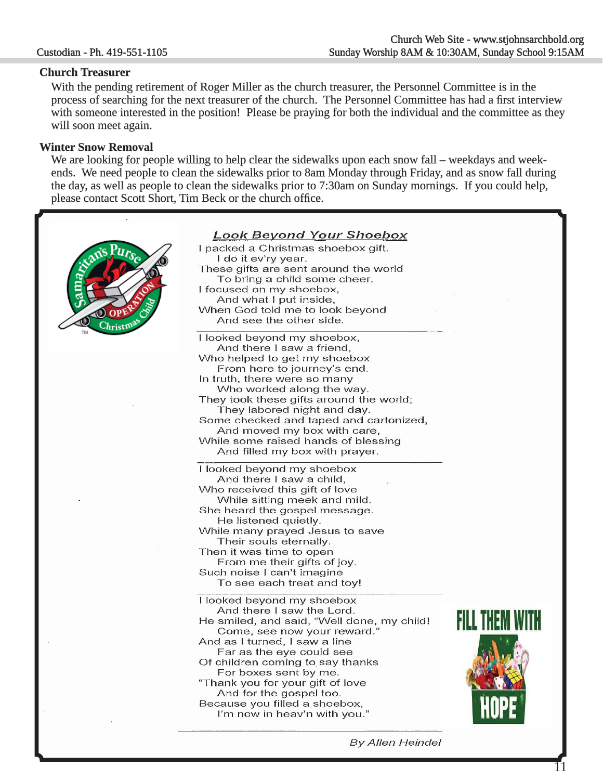#### **Church Treasurer hurch**

 With the pending retirement of Roger Miller as the church treasurer, the Personnel Committee is in the process of searching for the next treasurer of the church. The Personnel Committee has had a first interview with someone interested in the position! Please be praying for both the individual and the committee as they will soon meet again.

#### **Winter Snow Removal**

We are looking for people willing to help clear the sidewalks upon each snow fall – weekdays and weekends. We need people to clean the sidewalks prior to 8am Monday through Friday, and as snow fall during the day, as well as people to clean the sidewalks prior to 7:30am on Sunday mornings. If you could help, please contact Scott Short, Tim Beck or the church office.